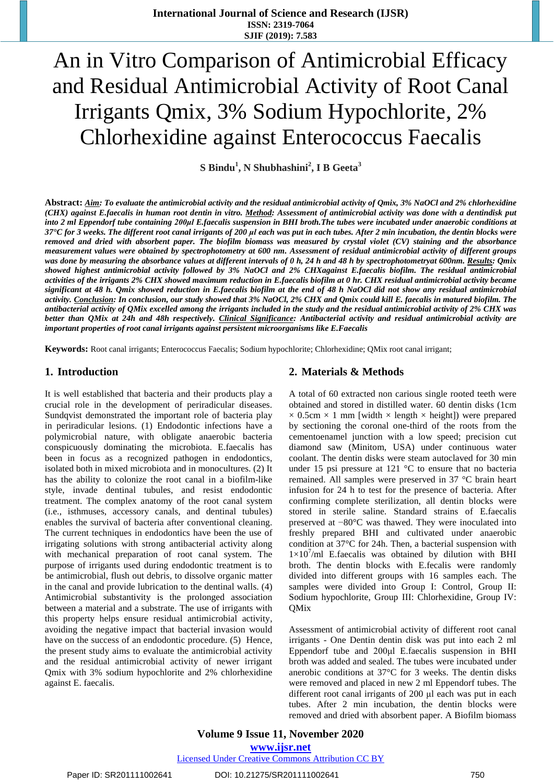# An in Vitro Comparison of Antimicrobial Efficacy and Residual Antimicrobial Activity of Root Canal Irrigants Qmix, 3% Sodium Hypochlorite, 2% Chlorhexidine against Enterococcus Faecalis

**S Bindu<sup>1</sup> , N Shubhashini<sup>2</sup> , I B Geeta<sup>3</sup>**

Abstract: Aim: To evaluate the antimicrobial activity and the residual antimicrobial activity of Omix, 3% NaOCl and 2% chlorhexidine (CHX) against E.faecalis in human root dentin in vitro. Method: Assessment of antimicrobial activity was done with a dentindisk put into 2 ml Eppendorf tube containing 200ul E.faecalis suspension in BHI broth. The tubes were incubated under anaerobic conditions at 37°C for 3 weeks. The different root canal irrigants of 200 µl each was put in each tubes. After 2 min incubation, the dentin blocks were removed and dried with absorbent paper. The biofilm biomass was measured by crystal violet (CV) staining and the absorbance measurement values were obtained by spectrophotometry at 600 nm. Assessment of residual antimicrobial activity of different groups was done by measuring the absorbance values at different intervals of 0 h, 24 h and 48 h by spectrophotometryat 600nm. Results: Omix showed highest antimicrobial activity followed by 3% NaOCl and 2% CHXagainst E.faecalis biofilm. The residual antimicrobial activities of the irrigants 2% CHX showed maximum reduction in E.faecalis biofilm at 0 hr. CHX residual antimicrobial activity became significant at 48 h. Qmix showed reduction in E.faecalis biofilm at the end of 48 h NaOCl did not show any residual antimicrobial activity. Conclusion: In conclusion, our study showed that 3% NaOCl, 2% CHX and Qmix could kill E. faecalis in matured biofilm. The antibacterial activity of QMix excelled among the irrigants included in the study and the residual antimicrobial activity of 2% CHX was better than OMix at 24h and 48h respectively. Clinical Significance: Antibacterial activity and residual antimicrobial activity are *important properties of root canal irrigants against persistent microorganisms like E.Faecalis*

**Keywords:** Root canal irrigants; Enterococcus Faecalis; Sodium hypochlorite; Chlorhexidine; QMix root canal irrigant;

### **1. Introduction**

It is well established that bacteria and their products play a crucial role in the development of periradicular diseases. Sundqvist demonstrated the important role of bacteria play in periradicular lesions. (1) Endodontic infections have a polymicrobial nature, with obligate anaerobic bacteria conspicuously dominating the microbiota. E.faecalis has been in focus as a recognized pathogen in endodontics, isolated both in mixed microbiota and in monocultures. (2) It has the ability to colonize the root canal in a biofilm-like style, invade dentinal tubules, and resist endodontic treatment. The complex anatomy of the root canal system (i.e., isthmuses, accessory canals, and dentinal tubules) enables the survival of bacteria after conventional cleaning. The current techniques in endodontics have been the use of irrigating solutions with strong antibacterial activity along with mechanical preparation of root canal system. The purpose of irrigants used during endodontic treatment is to be antimicrobial, flush out debris, to dissolve organic matter in the canal and provide lubrication to the dentinal walls. (4) Antimicrobial substantivity is the prolonged association between a material and a substrate. The use of irrigants with this property helps ensure residual antimicrobial activity, avoiding the negative impact that bacterial invasion would have on the success of an endodontic procedure. (5) Hence, the present study aims to evaluate the antimicrobial activity and the residual antimicrobial activity of newer irrigant Qmix with 3% sodium hypochlorite and 2% chlorhexidine against E. faecalis.

### **2. Materials & Methods**

A total of 60 extracted non carious single rooted teeth were obtained and stored in distilled water. 60 dentin disks (1cm  $\times$  0.5cm  $\times$  1 mm [width  $\times$  length  $\times$  height]) were prepared by sectioning the coronal one-third of the roots from the cementoenamel junction with a low speed; precision cut diamond saw (Minitom, USA) under continuous water coolant. The dentin disks were steam autoclaved for 30 min under 15 psi pressure at 121 °C to ensure that no bacteria remained. All samples were preserved in 37 °C brain heart infusion for 24 h to test for the presence of bacteria. After confirming complete sterilization, all dentin blocks were stored in sterile saline. Standard strains of E.faecalis preserved at −80°C was thawed. They were inoculated into freshly prepared BHI and cultivated under anaerobic condition at 37°C for 24h. Then, a bacterial suspension with  $1 \times 10^7$ /ml E.faecalis was obtained by dilution with BHI broth. The dentin blocks with E.fecalis were randomly divided into different groups with 16 samples each. The samples were divided into Group I: Control, Group II: Sodium hypochlorite, Group III: Chlorhexidine, Group IV: **OMix** 

Assessment of antimicrobial activity of different root canal irrigants - One Dentin dentin disk was put into each 2 ml Eppendorf tube and 200μl E.faecalis suspension in BHI broth was added and sealed. The tubes were incubated under anerobic conditions at 37°C for 3 weeks. The dentin disks were removed and placed in new 2 ml Eppendorf tubes. The different root canal irrigants of 200 μl each was put in each tubes. After 2 min incubation, the dentin blocks were removed and dried with absorbent paper. A Biofilm biomass

**Volume 9 Issue 11, November 2020 www.ijsr.net** Licensed Under Creative Commons Attribution CC BY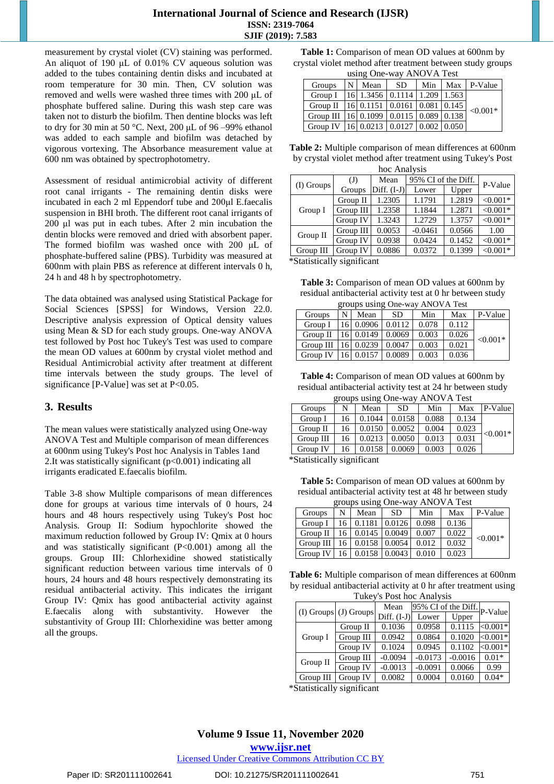### **International Journal of Science and Research (IJSR) ISSN: 2319-7064 SJIF (2019): 7.583**

measurement by crystal violet (CV) staining was performed. An aliquot of 190 μL of 0.01% CV aqueous solution was added to the tubes containing dentin disks and incubated at room temperature for 30 min. Then, CV solution was removed and wells were washed three times with 200 μL of phosphate buffered saline. During this wash step care was taken not to disturb the biofilm. Then dentine blocks was left to dry for 30 min at 50 °C. Next, 200 μL of 96 –99% ethanol was added to each sample and biofilm was detached by vigorous vortexing. The Absorbance measurement value at 600 nm was obtained by spectrophotometry.

Assessment of residual antimicrobial activity of different root canal irrigants - The remaining dentin disks were incubated in each 2 ml Eppendorf tube and 200μl E.faecalis suspension in BHI broth. The different root canal irrigants of 200 μl was put in each tubes. After 2 min incubation the dentin blocks were removed and dried with absorbent paper. The formed biofilm was washed once with 200 μL of phosphate-buffered saline (PBS). Turbidity was measured at 600nm with plain PBS as reference at different intervals 0 h, 24 h and 48 h by spectrophotometry.

The data obtained was analysed using Statistical Package for Social Sciences [SPSS] for Windows, Version 22.0. Descriptive analysis expression of Optical density values using Mean & SD for each study groups. One-way ANOVA test followed by Post hoc Tukey's Test was used to compare the mean OD values at 600nm by crystal violet method and Residual Antimicrobial activity after treatment at different time intervals between the study groups. The level of significance  $[P-Value]$  was set at  $P<0.05$ .

## **3. Results**

The mean values were statistically analyzed using One-way ANOVA Test and Multiple comparison of mean differences at 600nm using Tukey's Post hoc Analysis in Tables 1and 2.It was statistically significant (p<0.001) indicating all irrigants eradicated E.faecalis biofilm.

Table 3-8 show Multiple comparisons of mean differences done for groups at various time intervals of 0 hours, 24 hours and 48 hours respectively using Tukey's Post hoc Analysis. Group II: Sodium hypochlorite showed the maximum reduction followed by Group IV: Qmix at 0 hours and was statistically significant (P<0.001) among all the groups. Group III: Chlorhexidine showed statistically significant reduction between various time intervals of 0 hours, 24 hours and 48 hours respectively demonstrating its residual antibacterial activity. This indicates the irrigant Group IV: Qmix has good antibacterial activity against E.faecalis along with substantivity. However the substantivity of Group III: Chlorhexidine was better among all the groups.

Table 1: Comparison of mean OD values at 600nm by crystal violet method after treatment between study groups using One-way ANOVA Test

| using One-way AlnOVA Test                        |   |      |                                                              |     |  |             |  |
|--------------------------------------------------|---|------|--------------------------------------------------------------|-----|--|-------------|--|
| Groups                                           | N | Mean | SD.                                                          | Min |  | Max P-Value |  |
| Group I                                          |   |      | $\vert 16 \vert 1.3456 \vert 0.1114 \vert 1.209 \vert 1.563$ |     |  |             |  |
| Group $\Pi$                                      |   |      | $\vert 16 \vert 0.1151 \vert 0.0161 \vert 0.081 \vert 0.145$ |     |  | $< 0.001*$  |  |
| Group III   16   0.1099   0.0115   0.089   0.138 |   |      |                                                              |     |  |             |  |
| Group IV   16   0.0213   0.0127   0.002   0.050  |   |      |                                                              |     |  |             |  |

**Table 2:** Multiple comparison of mean differences at 600nm by crystal violet method after treatment using Tukey's Post

| hoc Analysis                  |           |               |                     |        |            |  |  |
|-------------------------------|-----------|---------------|---------------------|--------|------------|--|--|
|                               | (J)       | Mean          | 95% CI of the Diff. |        | P-Value    |  |  |
| (I) Groups                    | Groups    | Diff. $(I-J)$ | Lower               | Upper  |            |  |  |
|                               | Group II  | 1.2305        | 1.1791              | 1.2819 | $< 0.001*$ |  |  |
| Group I                       | Group III | 1.2358        | 1.1844              | 1.2871 | $< 0.001*$ |  |  |
|                               | Group IV  | 1.3243        | 1.2729              | 1.3757 | $< 0.001*$ |  |  |
| Group II                      | Group III | 0.0053        | $-0.0461$           | 0.0566 | 1.00       |  |  |
|                               | Group IV  | 0.0938        | 0.0424              | 0.1452 | $< 0.001*$ |  |  |
| Group III                     | Group IV  | 0.0886        | 0.0372              | 0.1399 | $< 0.001*$ |  |  |
| $*$ Ctotictically cignificant |           |               |                     |        |            |  |  |

\*Statistically significant

**Table 3:** Comparison of mean OD values at 600nm by residual antibacterial activity test at 0 hr between study  $\overline{Q}$  anova $\overline{W}$ 

| groups using One-way ANOVA Test |   |                       |        |       |       |            |  |
|---------------------------------|---|-----------------------|--------|-------|-------|------------|--|
| Groups                          | N | Mean                  | SD.    | Min   | Max   | P-Value    |  |
| Group I                         |   | 16 0.0906 0.0112      |        | 0.078 | 0.112 |            |  |
| Group II                        |   | 16 0.0149             | 0.0069 | 0.003 | 0.026 | $< 0.001*$ |  |
| Group III                       |   | 16 0.0239             | 0.0047 | 0.003 | 0.021 |            |  |
| Group IV                        |   | $16 \mid 0.0157 \mid$ | 0.0089 | 0.003 | 0.036 |            |  |

**Table 4:** Comparison of mean OD values at 600nm by residual antibacterial activity test at 24 hr between study  $\cos \theta$  is  $\cos \theta$  on  $\cos \theta$  ANOVA Test

| groups using One-way AlvOVA Test |                               |        |        |       |       |            |  |
|----------------------------------|-------------------------------|--------|--------|-------|-------|------------|--|
| Groups                           | N                             | Mean   | SD.    | Min   | Max   | P-Value    |  |
| Group I                          | 16                            | 0.1044 | 0.0158 | 0.088 | 0.134 |            |  |
| Group II                         | 16                            | 0.0150 | 0.0052 | 0.004 | 0.023 | $< 0.001*$ |  |
| Group III                        | 16                            | 0.0213 | 0.0050 | 0.013 | 0.031 |            |  |
| Group IV                         | 16                            | 0.0158 | 0.0069 | 0.003 | 0.026 |            |  |
|                                  | $*$ Statictically cionificant |        |        |       |       |            |  |

\*Statistically significant

**Table 5:** Comparison of mean OD values at 600nm by residual antibacterial activity test at 48 hr between study  $g_{\text{max}}$  using  $\Omega_{\text{max}}$  ANOVA Test

| groups using One-way AlNOVA Test                      |   |                        |     |     |       |            |  |
|-------------------------------------------------------|---|------------------------|-----|-----|-------|------------|--|
| Groups                                                | N | Mean                   | -SD | Min | Max   | P-Value    |  |
| Group I                                               |   | 16 0.1181 0.0126 0.098 |     |     | 0.136 |            |  |
| Group II   16   0.0145   0.0049   0.007               |   |                        |     |     | 0.022 | $< 0.001*$ |  |
| Group III   $16$   0.0158   0.0054   0.012            |   |                        |     |     | 0.032 |            |  |
| $\vert$ Group IV   16   0.0158 $\vert$ 0.0043   0.010 |   |                        |     |     | 0.023 |            |  |

**Table 6:** Multiple comparison of mean differences at 600nm by residual antibacterial activity at 0 hr after treatment using Tukey's Post hoc Analysis

| Tukey 3 T Ost 1100 T Mail y 513 |           |               |                             |           |            |  |  |
|---------------------------------|-----------|---------------|-----------------------------|-----------|------------|--|--|
| $(I)$ Groups $(J)$ Groups       |           | Mean          | 95% CI of the Diff. P-Value |           |            |  |  |
|                                 |           | Diff. $(I-J)$ | Lower                       | Upper     |            |  |  |
|                                 | Group II  | 0.1036        | 0.0958                      | 0.1115    | $< 0.001*$ |  |  |
| Group I                         | Group III | 0.0942        | 0.0864                      | 0.1020    | $< 0.001*$ |  |  |
|                                 | Group IV  | 0.1024        | 0.0945                      | 0.1102    | $<0.001*$  |  |  |
| Group II                        | Group III | $-0.0094$     | $-0.0173$                   | $-0.0016$ | $0.01*$    |  |  |
|                                 | Group IV  | $-0.0013$     | $-0.0091$                   | 0.0066    | 0.99       |  |  |
| Group III                       | Group IV  | 0.0082        | 0.0004                      | 0.0160    | $0.04*$    |  |  |

\*Statistically significant

**Volume 9 Issue 11, November 2020 www.ijsr.net**

Licensed Under Creative Commons Attribution CC BY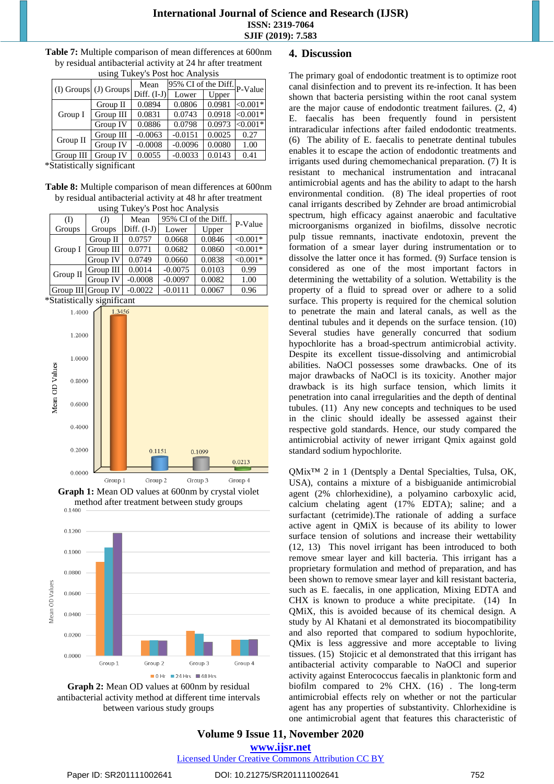| $(I)$ Groups $(J)$ Groups |           | Mean          | 95% CI of the Diff. P-Value |        |            |  |  |
|---------------------------|-----------|---------------|-----------------------------|--------|------------|--|--|
|                           |           | Diff. $(I-J)$ | Lower                       | Upper  |            |  |  |
|                           | Group II  | 0.0894        | 0.0806                      | 0.0981 | $< 0.001*$ |  |  |
| Group I                   | Group III | 0.0831        | 0.0743                      | 0.0918 | $< 0.001*$ |  |  |
|                           | Group IV  | 0.0886        | 0.0798                      | 0.0973 | $< 0.001*$ |  |  |
| Group II                  | Group III | $-0.0063$     | $-0.0151$                   | 0.0025 | 0.27       |  |  |
|                           | Group IV  | $-0.0008$     | $-0.0096$                   | 0.0080 | 1.00       |  |  |
| Group III                 | Group IV  | 0.0055        | $-0.0033$                   | 0.0143 | 0.41       |  |  |

**Table 7:** Multiple comparison of mean differences at 600nm by residual antibacterial activity at 24 hr after treatment using Tukey's Post hoc Analysis

\*Statistically significant

**Table 8:** Multiple comparison of mean differences at 600nm by residual antibacterial activity at 48 hr after treatment

| using Tukey's Post hoc Analysis |           |               |           |        |            |  |  |
|---------------------------------|-----------|---------------|-----------|--------|------------|--|--|
| (I)                             | (J)       | P-Value       |           |        |            |  |  |
| Groups                          | Groups    | Diff. $(I-J)$ | Lower     | Upper  |            |  |  |
|                                 | Group II  | 0.0757        | 0.0668    | 0.0846 | $< 0.001*$ |  |  |
| Group I                         | Group III | 0.0771        | 0.0682    | 0.0860 | $< 0.001*$ |  |  |
|                                 | Group IV  | 0.0749        | 0.0660    | 0.0838 | $< 0.001*$ |  |  |
| Group $II$                      | Group III | 0.0014        | $-0.0075$ | 0.0103 | 0.99       |  |  |
|                                 | Group IV  | $-0.0008$     | $-0.0097$ | 0.0082 | 1.00       |  |  |
| Group III Group IV              |           | $-0.0022$     | $-0.0111$ | 0.0067 | 0.96       |  |  |

\*Statistically significant



**Graph 1:** Mean OD values at 600nm by crystal violet method after treatment between study groups



**Graph 2:** Mean OD values at 600nm by residual antibacterial activity method at different time intervals between various study groups

## **4. Discussion**

The primary goal of endodontic treatment is to optimize root canal disinfection and to prevent its re-infection. It has been shown that bacteria persisting within the root canal system are the major cause of endodontic treatment failures. (2, 4) E. faecalis has been frequently found in persistent intraradicular infections after failed endodontic treatments. (6) The ability of E. faecalis to penetrate dentinal tubules enables it to escape the action of endodontic treatments and irrigants used during chemomechanical preparation. (7) It is resistant to mechanical instrumentation and intracanal antimicrobial agents and has the ability to adapt to the harsh environmental condition. (8) The ideal properties of root canal irrigants described by Zehnder are broad antimicrobial spectrum, high efficacy against anaerobic and facultative microorganisms organized in biofilms, dissolve necrotic pulp tissue remnants, inactivate endotoxin, prevent the formation of a smear layer during instrumentation or to dissolve the latter once it has formed. (9) Surface tension is considered as one of the most important factors in determining the wettability of a solution. Wettability is the property of a fluid to spread over or adhere to a solid surface. This property is required for the chemical solution to penetrate the main and lateral canals, as well as the dentinal tubules and it depends on the surface tension. (10) Several studies have generally concurred that sodium hypochlorite has a broad-spectrum antimicrobial activity. Despite its excellent tissue-dissolving and antimicrobial abilities. NaOCl possesses some drawbacks. One of its major drawbacks of NaOCl is its toxicity. Another major drawback is its high surface tension, which limits it penetration into canal irregularities and the depth of dentinal tubules. (11) Any new concepts and techniques to be used in the clinic should ideally be assessed against their respective gold standards. Hence, our study compared the antimicrobial activity of newer irrigant Qmix against gold standard sodium hypochlorite.

QMix™ 2 in 1 (Dentsply a Dental Specialties, Tulsa, OK, USA), contains a mixture of a bisbiguanide antimicrobial agent (2% chlorhexidine), a polyamino carboxylic acid, calcium chelating agent (17% EDTA); saline; and a surfactant (cetrimide).The rationale of adding a surface active agent in QMiX is because of its ability to lower surface tension of solutions and increase their wettability (12, 13) This novel irrigant has been introduced to both remove smear layer and kill bacteria. This irrigant has a proprietary formulation and method of preparation, and has been shown to remove smear layer and kill resistant bacteria, such as E. faecalis, in one application, Mixing EDTA and CHX is known to produce a white precipitate. (14) In QMiX, this is avoided because of its chemical design. A study by Al Khatani et al demonstrated its biocompatibility and also reported that compared to sodium hypochlorite, QMix is less aggressive and more acceptable to living tissues. (15) Stojicic et al demonstrated that this irrigant has antibacterial activity comparable to NaOCl and superior activity against Enterococcus faecalis in planktonic form and biofilm compared to 2% CHX. (16) . The long-term antimicrobial effects rely on whether or not the particular agent has any properties of substantivity. Chlorhexidine is one antimicrobial agent that features this characteristic of

# **Volume 9 Issue 11, November 2020 www.ijsr.net**

Licensed Under Creative Commons Attribution CC BY